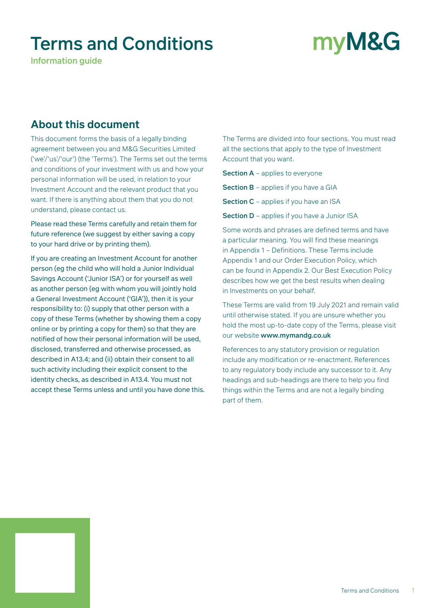### Terms and Conditions

Information guide

# myM&G

### **About this document**

This document forms the basis of a legally binding agreement between you and M&G Securities Limited ('we'/'us'/'our') (the 'Terms'). The Terms set out the terms and conditions of your investment with us and how your personal information will be used, in relation to your Investment Account and the relevant product that you want. If there is anything about them that you do not understand, please contact us.

Please read these Terms carefully and retain them for future reference (we suggest by either saving a copy to your hard drive or by printing them).

If you are creating an Investment Account for another person (eg the child who will hold a Junior Individual Savings Account ('Junior ISA') or for yourself as well as another person (eg with whom you will jointly hold a General Investment Account ('GIA')), then it is your responsibility to: (i) supply that other person with a copy of these Terms (whether by showing them a copy online or by printing a copy for them) so that they are notified of how their personal information will be used, disclosed, transferred and otherwise processed, as described in A13.4; and (ii) obtain their consent to all such activity including their explicit consent to the identity checks, as described in A13.4. You must not accept these Terms unless and until you have done this. The Terms are divided into four sections. You must read all the sections that apply to the type of Investment Account that you want.

Section A - applies to everyone

Section B - applies if you have a GIA

Section C - applies if you have an ISA

Section D - applies if you have a Junior ISA

Some words and phrases are defined terms and have a particular meaning. You will find these meanings in Appendix 1 – Definitions. These Terms include Appendix 1 and our Order Execution Policy, which can be found in Appendix 2. Our Best Execution Policy describes how we get the best results when dealing in Investments on your behalf.

These Terms are valid from 19 July 2021 and remain valid until otherwise stated. If you are unsure whether you hold the most up-to-date copy of the Terms, please visit our website www.mymandg.co.uk

References to any statutory provision or regulation include any modification or re-enactment. References to any regulatory body include any successor to it. Any headings and sub-headings are there to help you find things within the Terms and are not a legally binding part of them.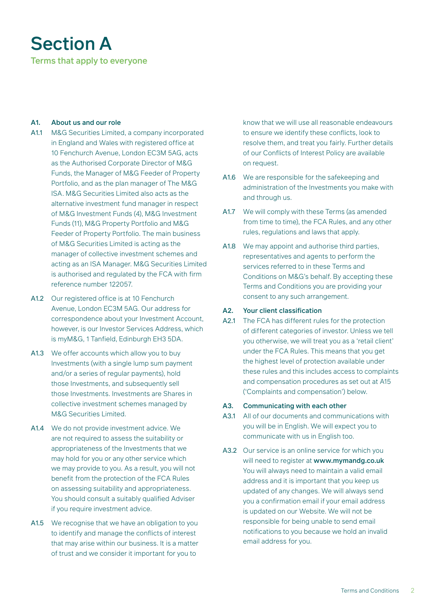## Section A

Terms that apply to everyone

#### A1. About us and our role

- A1.1 M&G Securities Limited, a company incorporated in England and Wales with registered office at 10 Fenchurch Avenue, London EC3M 5AG, acts as the Authorised Corporate Director of M&G Funds, the Manager of M&G Feeder of Property Portfolio, and as the plan manager of The M&G ISA. M&G Securities Limited also acts as the alternative investment fund manager in respect of M&G Investment Funds (4), M&G Investment Funds (11), M&G Property Portfolio and M&G Feeder of Property Portfolio. The main business of M&G Securities Limited is acting as the manager of collective investment schemes and acting as an ISA Manager. M&G Securities Limited is authorised and regulated by the FCA with firm reference number 122057.
- A1.2 Our registered office is at 10 Fenchurch Avenue, London EC3M 5AG. Our address for correspondence about your Investment Account, however, is our Investor Services Address, which is myM&G, 1 Tanfield, Edinburgh EH3 5DA.
- A1.3 We offer accounts which allow you to buy Investments (with a single lump sum payment and/or a series of regular payments), hold those Investments, and subsequently sell those Investments. Investments are Shares in collective investment schemes managed by M&G Securities Limited.
- A1.4 We do not provide investment advice. We are not required to assess the suitability or appropriateness of the Investments that we may hold for you or any other service which we may provide to you. As a result, you will not benefit from the protection of the FCA Rules on assessing suitability and appropriateness. You should consult a suitably qualified Adviser if you require investment advice.
- A1.5 We recognise that we have an obligation to you to identify and manage the conflicts of interest that may arise within our business. It is a matter of trust and we consider it important for you to

know that we will use all reasonable endeavours to ensure we identify these conflicts, look to resolve them, and treat you fairly. Further details of our Conflicts of Interest Policy are available on request.

- A1.6 We are responsible for the safekeeping and administration of the Investments you make with and through us.
- A1.7 We will comply with these Terms (as amended from time to time), the FCA Rules, and any other rules, regulations and laws that apply.
- A1.8 We may appoint and authorise third parties, representatives and agents to perform the services referred to in these Terms and Conditions on M&G's behalf. By accepting these Terms and Conditions you are providing your consent to any such arrangement.

#### A2. Your client classification

A2.1 The FCA has different rules for the protection of different categories of investor. Unless we tell you otherwise, we will treat you as a 'retail client' under the FCA Rules. This means that you get the highest level of protection available under these rules and this includes access to complaints and compensation procedures as set out at A15 ('Complaints and compensation') below.

#### A3. Communicating with each other

- A3.1 All of our documents and communications with you will be in English. We will expect you to communicate with us in English too.
- A3.2 Our service is an online service for which you will need to register at www.mymandg.co.uk You will always need to maintain a valid email address and it is important that you keep us updated of any changes. We will always send you a confirmation email if your email address is updated on our Website. We will not be responsible for being unable to send email notifications to you because we hold an invalid email address for you.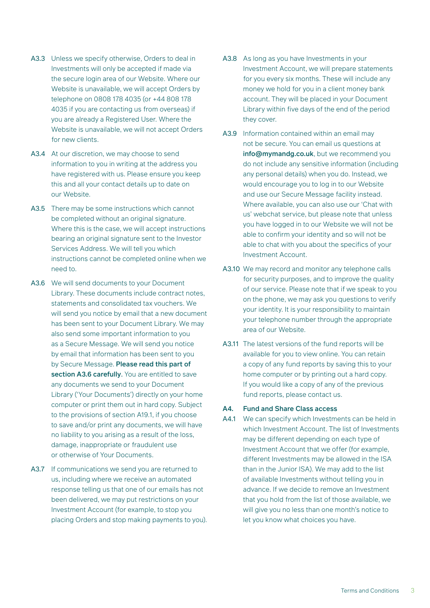- A3.3 Unless we specify otherwise, Orders to deal in Investments will only be accepted if made via the secure login area of our Website. Where our Website is unavailable, we will accept Orders by telephone on 0808 178 4035 (or +44 808 178 4035 if you are contacting us from overseas) if you are already a Registered User. Where the Website is unavailable, we will not accept Orders for new clients.
- A3.4 At our discretion, we may choose to send information to you in writing at the address you have registered with us. Please ensure you keep this and all your contact details up to date on our Website.
- A3.5 There may be some instructions which cannot be completed without an original signature. Where this is the case, we will accept instructions bearing an original signature sent to the Investor Services Address. We will tell you which instructions cannot be completed online when we need to.
- A3.6 We will send documents to your Document Library. These documents include contract notes, statements and consolidated tax vouchers. We will send you notice by email that a new document has been sent to your Document Library. We may also send some important information to you as a Secure Message. We will send you notice by email that information has been sent to you by Secure Message. Please read this part of section A3.6 carefully. You are entitled to save any documents we send to your Document Library ('Your Documents') directly on your home computer or print them out in hard copy. Subject to the provisions of section A19.1, if you choose to save and/or print any documents, we will have no liability to you arising as a result of the loss, damage, inappropriate or fraudulent use or otherwise of Your Documents.
- A3.7 If communications we send you are returned to us, including where we receive an automated response telling us that one of our emails has not been delivered, we may put restrictions on your Investment Account (for example, to stop you placing Orders and stop making payments to you).
- A3.8 As long as you have Investments in your Investment Account, we will prepare statements for you every six months. These will include any money we hold for you in a client money bank account. They will be placed in your Document Library within five days of the end of the period they cover.
- A3.9 Information contained within an email may not be secure. You can email us questions at info@mymandg.co.uk, but we recommend you do not include any sensitive information (including any personal details) when you do. Instead, we would encourage you to log in to our Website and use our Secure Message facility instead. Where available, you can also use our 'Chat with us' webchat service, but please note that unless you have logged in to our Website we will not be able to confirm your identity and so will not be able to chat with you about the specifics of your Investment Account.
- A3.10 We may record and monitor any telephone calls for security purposes, and to improve the quality of our service. Please note that if we speak to you on the phone, we may ask you questions to verify your identity. It is your responsibility to maintain your telephone number through the appropriate area of our Website.
- A3.11 The latest versions of the fund reports will be available for you to view online. You can retain a copy of any fund reports by saving this to your home computer or by printing out a hard copy. If you would like a copy of any of the previous fund reports, please contact us.

#### A4. Fund and Share Class access

A4.1 We can specify which Investments can be held in which Investment Account. The list of Investments may be different depending on each type of Investment Account that we offer (for example, different Investments may be allowed in the ISA than in the Junior ISA). We may add to the list of available Investments without telling you in advance. If we decide to remove an Investment that you hold from the list of those available, we will give you no less than one month's notice to let you know what choices you have.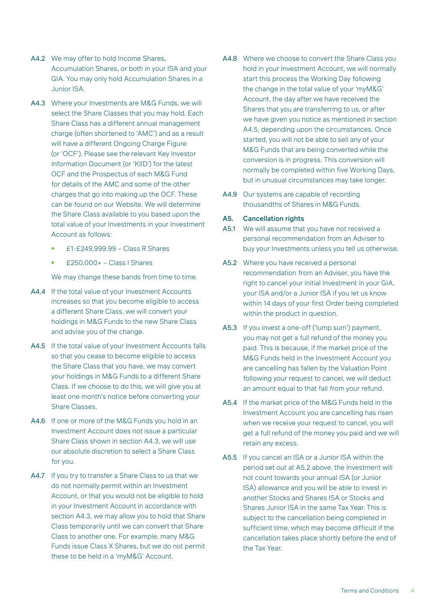- A4.2 We may offer to hold Income Shares, Accumulation Shares, or both in your ISA and your GIA. You may only hold Accumulation Shares in a Junior ISA.
- A4.3 Where your Investments are M&G Funds, we will select the Share Classes that you may hold. Each Share Class has a different annual management charge (often shortened to 'AMC') and as a result will have a different Ongoing Charge Figure (or 'OCF'). Please see the relevant Key Investor Information Document (or 'KIID') for the latest OCF and the Prospectus of each M&G Fund for details of the AMC and some of the other charges that go into making up the OCF. These can be found on our Website. We will determine the Share Class available to you based upon the total value of your Investments in your Investment Account as follows:
	- £1-£249,999.99 Class R Shares
	- $£250,000+ Class I Shares$

We may change these bands from time to time.

- A4.4 If the total value of your Investment Accounts increases so that you become eligible to access a different Share Class, we will convert your holdings in M&G Funds to the new Share Class and advise you of the change.
- A4.5 If the total value of your Investment Accounts falls so that you cease to become eligible to access the Share Class that you have, we may convert your holdings in M&G Funds to a different Share Class. If we choose to do this, we will give you at least one month's notice before converting your Share Classes.
- A4.6 If one or more of the M&G Funds you hold in an Investment Account does not issue a particular Share Class shown in section A4.3, we will use our absolute discretion to select a Share Class for you.
- A4.7 If you try to transfer a Share Class to us that we do not normally permit within an Investment Account, or that you would not be eligible to hold in your Investment Account in accordance with section A4.3, we may allow you to hold that Share Class temporarily until we can convert that Share Class to another one. For example, many M&G Funds issue Class X Shares, but we do not permit these to be held in a 'myM&G' Account.
- A4.8 Where we choose to convert the Share Class you hold in your Investment Account, we will normally start this process the Working Day following the change in the total value of your 'myM&G' Account, the day after we have received the Shares that you are transferring to us, or after we have given you notice as mentioned in section A4.5, depending upon the circumstances. Once started, you will not be able to sell any of your M&G Funds that are being converted while the conversion is in progress. This conversion will normally be completed within five Working Days, but in unusual circumstances may take longer.
- A4.9 Our systems are capable of recording thousandths of Shares in M&G Funds.

#### A5. Cancellation rights

- A5.1 We will assume that you have not received a personal recommendation from an Adviser to buy your Investments unless you tell us otherwise.
- A5.2 Where you have received a personal recommendation from an Adviser, you have the right to cancel your initial Investment in your GIA, your ISA and/or a Junior ISA if you let us know within 14 days of your first Order being completed within the product in question.
- A5.3 If you invest a one-off ('lump sum') payment, you may not get a full refund of the money you paid. This is because, if the market price of the M&G Funds held in the Investment Account you are cancelling has fallen by the Valuation Point following your request to cancel, we will deduct an amount equal to that fall from your refund.
- A5.4 If the market price of the M&G Funds held in the Investment Account you are cancelling has risen when we receive your request to cancel, you will get a full refund of the money you paid and we will retain any excess.
- A5.5 If you cancel an ISA or a Junior ISA within the period set out at A5.2 above, the Investment will not count towards your annual ISA (or Junior ISA) allowance and you will be able to invest in another Stocks and Shares ISA or Stocks and Shares Junior ISA in the same Tax Year. This is subject to the cancellation being completed in sufficient time, which may become difficult if the cancellation takes place shortly before the end of the Tax Year.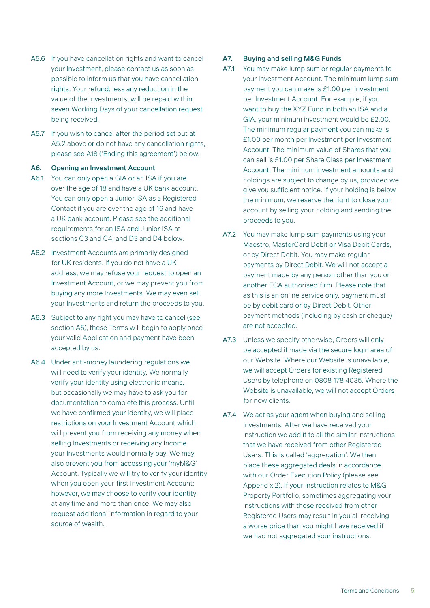- A5.6 If you have cancellation rights and want to cancel your Investment, please contact us as soon as possible to inform us that you have cancellation rights. Your refund, less any reduction in the value of the Investments, will be repaid within seven Working Days of your cancellation request being received.
- A5.7 If you wish to cancel after the period set out at A5.2 above or do not have any cancellation rights, please see A18 ('Ending this agreement') below.

#### A6. Opening an Investment Account

- A6.1 You can only open a GIA or an ISA if you are over the age of 18 and have a UK bank account. You can only open a Junior ISA as a Registered Contact if you are over the age of 16 and have a UK bank account. Please see the additional requirements for an ISA and Junior ISA at sections C3 and C4, and D3 and D4 below.
- A6.2 Investment Accounts are primarily designed for UK residents. If you do not have a UK address, we may refuse your request to open an Investment Account, or we may prevent you from buying any more Investments. We may even sell your Investments and return the proceeds to you.
- A6.3 Subject to any right you may have to cancel (see section A5), these Terms will begin to apply once your valid Application and payment have been accepted by us.
- A6.4 Under anti-money laundering regulations we will need to verify your identity. We normally verify your identity using electronic means, but occasionally we may have to ask you for documentation to complete this process. Until we have confirmed your identity, we will place restrictions on your Investment Account which will prevent you from receiving any money when selling Investments or receiving any Income your Investments would normally pay. We may also prevent you from accessing your 'myM&G' Account. Typically we will try to verify your identity when you open your first Investment Account; however, we may choose to verify your identity at any time and more than once. We may also request additional information in regard to your source of wealth.

#### A7. Buying and selling M&G Funds

- A7.1 You may make lump sum or regular payments to your Investment Account. The minimum lump sum payment you can make is £1.00 per Investment per Investment Account. For example, if you want to buy the XYZ Fund in both an ISA and a GIA, your minimum investment would be £2.00. The minimum regular payment you can make is £1.00 per month per Investment per Investment Account. The minimum value of Shares that you can sell is £1.00 per Share Class per Investment Account. The minimum investment amounts and holdings are subject to change by us, provided we give you sufficient notice. If your holding is below the minimum, we reserve the right to close your account by selling your holding and sending the proceeds to you.
- A7.2 You may make lump sum payments using your Maestro, MasterCard Debit or Visa Debit Cards, or by Direct Debit. You may make regular payments by Direct Debit. We will not accept a payment made by any person other than you or another FCA authorised firm. Please note that as this is an online service only, payment must be by debit card or by Direct Debit. Other payment methods (including by cash or cheque) are not accepted.
- A7.3 Unless we specify otherwise, Orders will only be accepted if made via the secure login area of our Website. Where our Website is unavailable, we will accept Orders for existing Registered Users by telephone on 0808 178 4035. Where the Website is unavailable, we will not accept Orders for new clients.
- A7.4 We act as your agent when buying and selling Investments. After we have received your instruction we add it to all the similar instructions that we have received from other Registered Users. This is called 'aggregation'. We then place these aggregated deals in accordance with our Order Execution Policy (please see Appendix 2). If your instruction relates to M&G Property Portfolio, sometimes aggregating your instructions with those received from other Registered Users may result in you all receiving a worse price than you might have received if we had not aggregated your instructions.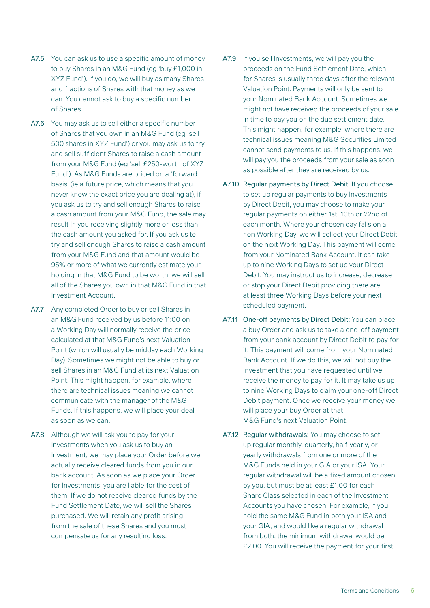- A7.5 You can ask us to use a specific amount of money to buy Shares in an M&G Fund (eg 'buy £1,000 in XYZ Fund'). If you do, we will buy as many Shares and fractions of Shares with that money as we can. You cannot ask to buy a specific number of Shares.
- A7.6 You may ask us to sell either a specific number of Shares that you own in an M&G Fund (eg 'sell 500 shares in XYZ Fund') or you may ask us to try and sell sufficient Shares to raise a cash amount from your M&G Fund (eg 'sell £250-worth of XYZ Fund'). As M&G Funds are priced on a 'forward basis' (ie a future price, which means that you never know the exact price you are dealing at), if you ask us to try and sell enough Shares to raise a cash amount from your M&G Fund, the sale may result in you receiving slightly more or less than the cash amount you asked for. If you ask us to try and sell enough Shares to raise a cash amount from your M&G Fund and that amount would be 95% or more of what we currently estimate your holding in that M&G Fund to be worth, we will sell all of the Shares you own in that M&G Fund in that Investment Account.
- A7.7 Any completed Order to buy or sell Shares in an M&G Fund received by us before 11:00 on a Working Day will normally receive the price calculated at that M&G Fund's next Valuation Point (which will usually be midday each Working Day). Sometimes we might not be able to buy or sell Shares in an M&G Fund at its next Valuation Point. This might happen, for example, where there are technical issues meaning we cannot communicate with the manager of the M&G Funds. If this happens, we will place your deal as soon as we can.
- A7.8 Although we will ask you to pay for your Investments when you ask us to buy an Investment, we may place your Order before we actually receive cleared funds from you in our bank account. As soon as we place your Order for Investments, you are liable for the cost of them. If we do not receive cleared funds by the Fund Settlement Date, we will sell the Shares purchased. We will retain any profit arising from the sale of these Shares and you must compensate us for any resulting loss.
- A7.9 If you sell Investments, we will pay you the proceeds on the Fund Settlement Date, which for Shares is usually three days after the relevant Valuation Point. Payments will only be sent to your Nominated Bank Account. Sometimes we might not have received the proceeds of your sale in time to pay you on the due settlement date. This might happen, for example, where there are technical issues meaning M&G Securities Limited cannot send payments to us. If this happens, we will pay you the proceeds from your sale as soon as possible after they are received by us.
- A7.10 Regular payments by Direct Debit: If you choose to set up regular payments to buy Investments by Direct Debit, you may choose to make your regular payments on either 1st, 10th or 22nd of each month. Where your chosen day falls on a non Working Day, we will collect your Direct Debit on the next Working Day. This payment will come from your Nominated Bank Account. It can take up to nine Working Days to set up your Direct Debit. You may instruct us to increase, decrease or stop your Direct Debit providing there are at least three Working Days before your next scheduled payment.
- A7.11 One-off payments by Direct Debit: You can place a buy Order and ask us to take a one-off payment from your bank account by Direct Debit to pay for it. This payment will come from your Nominated Bank Account. If we do this, we will not buy the Investment that you have requested until we receive the money to pay for it. It may take us up to nine Working Days to claim your one-off Direct Debit payment. Once we receive your money we will place your buy Order at that M&G Fund's next Valuation Point.
- A7.12 Regular withdrawals: You may choose to set up regular monthly, quarterly, half-yearly, or yearly withdrawals from one or more of the M&G Funds held in your GIA or your ISA. Your regular withdrawal will be a fixed amount chosen by you, but must be at least £1.00 for each Share Class selected in each of the Investment Accounts you have chosen. For example, if you hold the same M&G Fund in both your ISA and your GIA, and would like a regular withdrawal from both, the minimum withdrawal would be £2.00. You will receive the payment for your first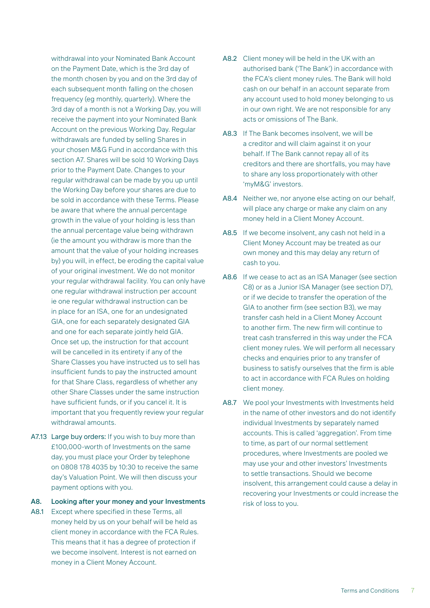withdrawal into your Nominated Bank Account on the Payment Date, which is the 3rd day of the month chosen by you and on the 3rd day of each subsequent month falling on the chosen frequency (eg monthly, quarterly). Where the 3rd day of a month is not a Working Day, you will receive the payment into your Nominated Bank Account on the previous Working Day. Regular withdrawals are funded by selling Shares in your chosen M&G Fund in accordance with this section A7. Shares will be sold 10 Working Days prior to the Payment Date. Changes to your regular withdrawal can be made by you up until the Working Day before your shares are due to be sold in accordance with these Terms. Please be aware that where the annual percentage growth in the value of your holding is less than the annual percentage value being withdrawn (ie the amount you withdraw is more than the amount that the value of your holding increases by) you will, in effect, be eroding the capital value of your original investment. We do not monitor your regular withdrawal facility. You can only have one regular withdrawal instruction per account ie one regular withdrawal instruction can be in place for an ISA, one for an undesignated GIA, one for each separately designated GIA and one for each separate jointly held GIA. Once set up, the instruction for that account will be cancelled in its entirety if any of the Share Classes you have instructed us to sell has insufficient funds to pay the instructed amount for that Share Class, regardless of whether any other Share Classes under the same instruction have sufficient funds, or if you cancel it. It is important that you frequently review your regular withdrawal amounts.

- A7.13 Large buy orders: If you wish to buy more than £100,000-worth of Investments on the same day, you must place your Order by telephone on 0808 178 4035 by 10:30 to receive the same day's Valuation Point. We will then discuss your payment options with you.
- A8. Looking after your money and your Investments
- A8.1 Except where specified in these Terms, all money held by us on your behalf will be held as client money in accordance with the FCA Rules. This means that it has a degree of protection if we become insolvent. Interest is not earned on money in a Client Money Account.
- A8.2 Client money will be held in the UK with an authorised bank ('The Bank') in accordance with the FCA's client money rules. The Bank will hold cash on our behalf in an account separate from any account used to hold money belonging to us in our own right. We are not responsible for any acts or omissions of The Bank.
- A8.3 If The Bank becomes insolvent, we will be a creditor and will claim against it on your behalf. If The Bank cannot repay all of its creditors and there are shortfalls, you may have to share any loss proportionately with other 'myM&G' investors.
- A8.4 Neither we, nor anyone else acting on our behalf, will place any charge or make any claim on any money held in a Client Money Account.
- A8.5 If we become insolvent, any cash not held in a Client Money Account may be treated as our own money and this may delay any return of cash to you.
- A8.6 If we cease to act as an ISA Manager (see section C8) or as a Junior ISA Manager (see section D7), or if we decide to transfer the operation of the GIA to another firm (see section B3), we may transfer cash held in a Client Money Account to another firm. The new firm will continue to treat cash transferred in this way under the FCA client money rules. We will perform all necessary checks and enquiries prior to any transfer of business to satisfy ourselves that the firm is able to act in accordance with FCA Rules on holding client money.
- A8.7 We pool your Investments with Investments held in the name of other investors and do not identify individual Investments by separately named accounts. This is called 'aggregation'. From time to time, as part of our normal settlement procedures, where Investments are pooled we may use your and other investors' Investments to settle transactions. Should we become insolvent, this arrangement could cause a delay in recovering your Investments or could increase the risk of loss to you.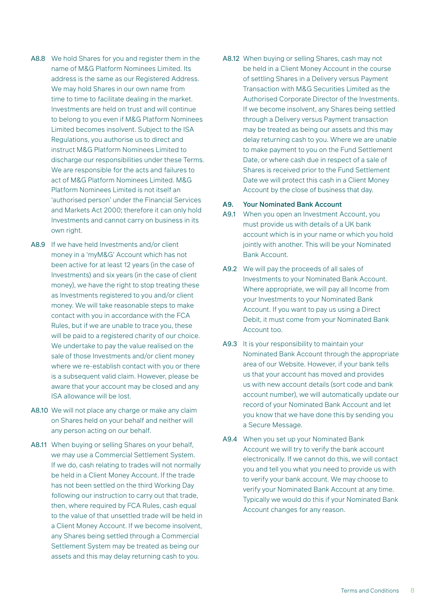- A8.8 We hold Shares for you and register them in the name of M&G Platform Nominees Limited. Its address is the same as our Registered Address. We may hold Shares in our own name from time to time to facilitate dealing in the market. Investments are held on trust and will continue to belong to you even if M&G Platform Nominees Limited becomes insolvent. Subject to the ISA Regulations, you authorise us to direct and instruct M&G Platform Nominees Limited to discharge our responsibilities under these Terms. We are responsible for the acts and failures to act of M&G Platform Nominees Limited. M&G Platform Nominees Limited is not itself an 'authorised person' under the Financial Services and Markets Act 2000; therefore it can only hold Investments and cannot carry on business in its own right.
- A8.9 If we have held Investments and/or client money in a 'myM&G' Account which has not been active for at least 12 years (in the case of Investments) and six years (in the case of client money), we have the right to stop treating these as Investments registered to you and/or client money. We will take reasonable steps to make contact with you in accordance with the FCA Rules, but if we are unable to trace you, these will be paid to a registered charity of our choice. We undertake to pay the value realised on the sale of those Investments and/or client money where we re-establish contact with you or there is a subsequent valid claim. However, please be aware that your account may be closed and any ISA allowance will be lost.
- A8.10 We will not place any charge or make any claim on Shares held on your behalf and neither will any person acting on our behalf.
- A8.11 When buying or selling Shares on your behalf, we may use a Commercial Settlement System. If we do, cash relating to trades will not normally be held in a Client Money Account. If the trade has not been settled on the third Working Day following our instruction to carry out that trade, then, where required by FCA Rules, cash equal to the value of that unsettled trade will be held in a Client Money Account. If we become insolvent, any Shares being settled through a Commercial Settlement System may be treated as being our assets and this may delay returning cash to you.

A8.12 When buying or selling Shares, cash may not be held in a Client Money Account in the course of settling Shares in a Delivery versus Payment Transaction with M&G Securities Limited as the Authorised Corporate Director of the Investments. If we become insolvent, any Shares being settled through a Delivery versus Payment transaction may be treated as being our assets and this may delay returning cash to you. Where we are unable to make payment to you on the Fund Settlement Date, or where cash due in respect of a sale of Shares is received prior to the Fund Settlement Date we will protect this cash in a Client Money Account by the close of business that day.

#### A9. Your Nominated Bank Account

- A9.1 When you open an Investment Account, you must provide us with details of a UK bank account which is in your name or which you hold jointly with another. This will be your Nominated Bank Account.
- A9.2 We will pay the proceeds of all sales of Investments to your Nominated Bank Account. Where appropriate, we will pay all Income from your Investments to your Nominated Bank Account. If you want to pay us using a Direct Debit, it must come from your Nominated Bank Account too.
- A9.3 It is your responsibility to maintain your Nominated Bank Account through the appropriate area of our Website. However, if your bank tells us that your account has moved and provides us with new account details (sort code and bank account number), we will automatically update our record of your Nominated Bank Account and let you know that we have done this by sending you a Secure Message.
- A9.4 When you set up your Nominated Bank Account we will try to verify the bank account electronically. If we cannot do this, we will contact you and tell you what you need to provide us with to verify your bank account. We may choose to verify your Nominated Bank Account at any time. Typically we would do this if your Nominated Bank Account changes for any reason.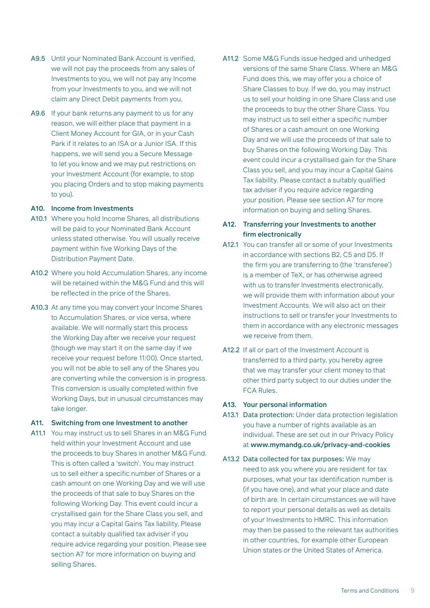- A9.5 Until your Nominated Bank Account is verified, we will not pay the proceeds from any sales of Investments to you, we will not pay any Income from your Investments to you, and we will not claim any Direct Debit payments from you.
- A9.6 If your bank returns any payment to us for any reason, we will either place that payment in a Client Money Account for GIA, or in your Cash Park if it relates to an ISA or a Junior ISA. If this happens, we will send you a Secure Message to let you know and we may put restrictions on your Investment Account (for example, to stop you placing Orders and to stop making payments to you).

#### A10. Income from Investments

- A10.1 Where you hold Income Shares, all distributions will be paid to your Nominated Bank Account unless stated otherwise. You will usually receive payment within five Working Days of the Distribution Payment Date.
- A10.2 Where you hold Accumulation Shares, any income will be retained within the M&G Fund and this will be reflected in the price of the Shares.
- A10.3 At any time you may convert your Income Shares to Accumulation Shares, or vice versa, where available. We will normally start this process the Working Day after we receive your request (though we may start it on the same day if we receive your request before 11:00). Once started, you will not be able to sell any of the Shares you are converting while the conversion is in progress. This conversion is usually completed within five Working Days, but in unusual circumstances may take longer.

#### A11. Switching from one Investment to another

A11.1 You may instruct us to sell Shares in an M&G Fund held within your Investment Account and use the proceeds to buy Shares in another M&G Fund. This is often called a 'switch'. You may instruct us to sell either a specific number of Shares or a cash amount on one Working Day and we will use the proceeds of that sale to buy Shares on the following Working Day. This event could incur a crystallised gain for the Share Class you sell, and you may incur a Capital Gains Tax liability. Please contact a suitably qualified tax adviser if you require advice regarding your position. Please see section A7 for more information on buying and selling Shares.

A11.2 Some M&G Funds issue hedged and unhedged versions of the same Share Class. Where an M&G Fund does this, we may offer you a choice of Share Classes to buy. If we do, you may instruct us to sell your holding in one Share Class and use the proceeds to buy the other Share Class. You may instruct us to sell either a specific number of Shares or a cash amount on one Working Day and we will use the proceeds of that sale to buy Shares on the following Working Day. This event could incur a crystallised gain for the Share Class you sell, and you may incur a Capital Gains Tax liability. Please contact a suitably qualified tax adviser if you require advice regarding your position. Please see section A7 for more information on buying and selling Shares.

#### A12. Transferring your Investments to another firm electronically

- A12.1 You can transfer all or some of your Investments in accordance with sections B2, C5 and D5. If the firm you are transferring to (the 'transferee') is a member of TeX, or has otherwise agreed with us to transfer Investments electronically, we will provide them with information about your Investment Accounts. We will also act on their instructions to sell or transfer your Investments to them in accordance with any electronic messages we receive from them.
- A12.2 If all or part of the Investment Account is transferred to a third party, you hereby agree that we may transfer your client money to that other third party subject to our duties under the FCA Rules.

#### A13. Your personal information

- A13.1 Data protection: Under data protection legislation you have a number of rights available as an individual. These are set out in our Privacy Policy at www.mymandg.co.uk/privacy-and-cookies
- A13.2 Data collected for tax purposes: We may need to ask you where you are resident for tax purposes, what your tax identification number is (if you have one), and what your place and date of birth are. In certain circumstances we will have to report your personal details as well as details of your Investments to HMRC. This information may then be passed to the relevant tax authorities in other countries, for example other European Union states or the United States of America.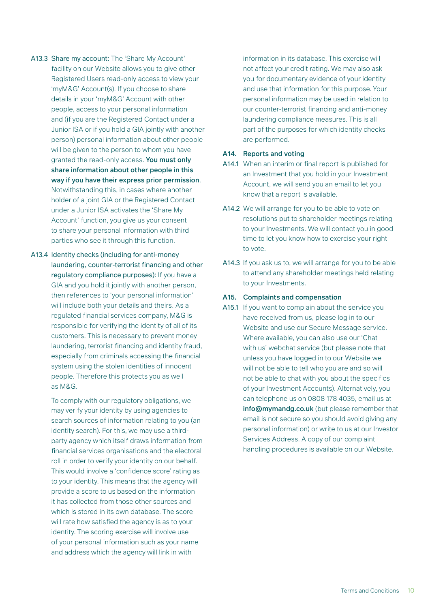- A13.3 Share my account: The 'Share My Account' facility on our Website allows you to give other Registered Users read-only access to view your 'myM&G' Account(s). If you choose to share details in your 'myM&G' Account with other people, access to your personal information and (if you are the Registered Contact under a Junior ISA or if you hold a GIA jointly with another person) personal information about other people will be given to the person to whom you have granted the read-only access. You must only share information about other people in this way if you have their express prior permission. Notwithstanding this, in cases where another holder of a joint GIA or the Registered Contact under a Junior ISA activates the 'Share My Account' function, you give us your consent to share your personal information with third parties who see it through this function.
- A13.4 Identity checks (including for anti-money laundering, counter-terrorist financing and other regulatory compliance purposes): If you have a GIA and you hold it jointly with another person, then references to 'your personal information' will include both your details and theirs. As a regulated financial services company, M&G is responsible for verifying the identity of all of its customers. This is necessary to prevent money laundering, terrorist financing and identity fraud, especially from criminals accessing the financial system using the stolen identities of innocent people. Therefore this protects you as well as M&G.

To comply with our regulatory obligations, we may verify your identity by using agencies to search sources of information relating to you (an identity search). For this, we may use a thirdparty agency which itself draws information from financial services organisations and the electoral roll in order to verify your identity on our behalf. This would involve a 'confidence score' rating as to your identity. This means that the agency will provide a score to us based on the information it has collected from those other sources and which is stored in its own database. The score will rate how satisfied the agency is as to your identity. The scoring exercise will involve use of your personal information such as your name and address which the agency will link in with

information in its database. This exercise will not affect your credit rating. We may also ask you for documentary evidence of your identity and use that information for this purpose. Your personal information may be used in relation to our counter-terrorist financing and anti-money laundering compliance measures. This is all part of the purposes for which identity checks are performed.

#### A14. Reports and voting

- A14.1 When an interim or final report is published for an Investment that you hold in your Investment Account, we will send you an email to let you know that a report is available.
- A14.2 We will arrange for you to be able to vote on resolutions put to shareholder meetings relating to your Investments. We will contact you in good time to let you know how to exercise your right to vote.
- A14.3 If you ask us to, we will arrange for you to be able to attend any shareholder meetings held relating to your Investments.

#### A15. Complaints and compensation

A15.1 If you want to complain about the service you have received from us, please log in to our Website and use our Secure Message service. Where available, you can also use our 'Chat with us' webchat service (but please note that unless you have logged in to our Website we will not be able to tell who you are and so will not be able to chat with you about the specifics of your Investment Accounts). Alternatively, you can telephone us on 0808 178 4035, email us at info@mymandg.co.uk (but please remember that email is not secure so you should avoid giving any personal information) or write to us at our Investor Services Address. A copy of our complaint handling procedures is available on our Website.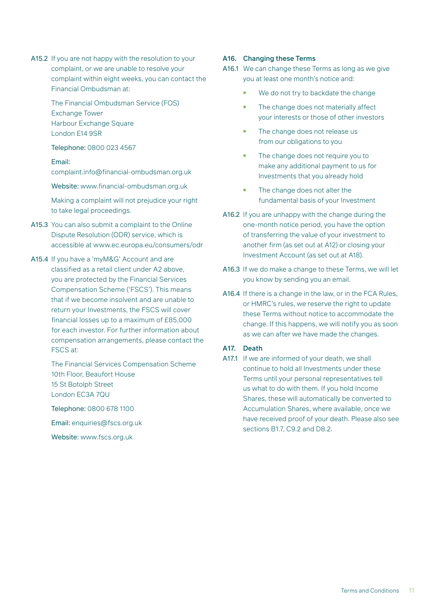A15.2 If you are not happy with the resolution to your complaint, or we are unable to resolve your complaint within eight weeks, you can contact the Financial Ombudsman at:

> The Financial Ombudsman Service (FOS) Exchange Tower Harbour Exchange Square London E14 9SR

Telephone: 0800 023 4567

#### Email:

complaint.info@financial-ombudsman.org.uk

Website: www.financial-ombudsman.org.uk

Making a complaint will not prejudice your right to take legal proceedings.

- A15.3 You can also submit a complaint to the Online Dispute Resolution (ODR) service, which is accessible at www.ec.europa.eu/consumers/odr
- A15.4 If you have a 'myM&G' Account and are classified as a retail client under A2 above, you are protected by the Financial Services Compensation Scheme ('FSCS'). This means that if we become insolvent and are unable to return your Investments, the FSCS will cover financial losses up to a maximum of £85,000 for each investor. For further information about compensation arrangements, please contact the FSCS at:

The Financial Services Compensation Scheme 10th Floor, Beaufort House 15 St Botolph Street London EC3A 7QU

Telephone: 0800 678 1100

Email: enquiries@fscs.org.uk

Website: www.fscs.org.uk

#### A16. Changing these Terms

- A16.1 We can change these Terms as long as we give you at least one month's notice and:
	- We do not try to backdate the change
	- The change does not materially affect your interests or those of other investors
	- The change does not release us from our obligations to you
	- The change does not require you to make any additional payment to us for Investments that you already hold
	- The change does not alter the fundamental basis of your Investment
- A16.2 If you are unhappy with the change during the one-month notice period, you have the option of transferring the value of your investment to another firm (as set out at A12) or closing your Investment Account (as set out at A18).
- A16.3 If we do make a change to these Terms, we will let you know by sending you an email.
- A16.4 If there is a change in the law, or in the FCA Rules, or HMRC's rules, we reserve the right to update these Terms without notice to accommodate the change. If this happens, we will notify you as soon as we can after we have made the changes.

#### A17. Death

A17.1 If we are informed of your death, we shall continue to hold all Investments under these Terms until your personal representatives tell us what to do with them. If you hold Income Shares, these will automatically be converted to Accumulation Shares, where available, once we have received proof of your death. Please also see sections B1.7, C9.2 and D8.2.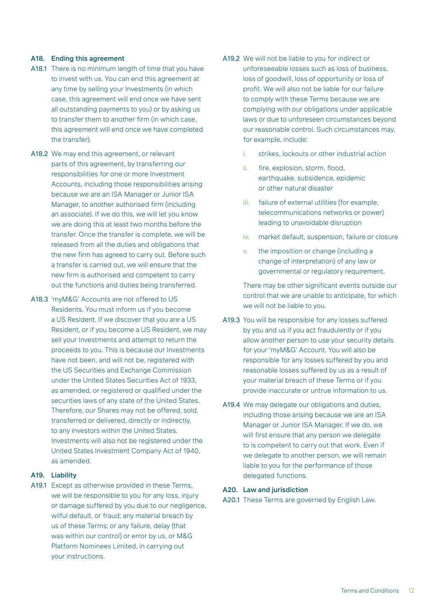#### A18. Ending this agreement

- A18.1 There is no minimum length of time that you have to invest with us. You can end this agreement at any time by selling your Investments (in which case, this agreement will end once we have sent all outstanding payments to you) or by asking us to transfer them to another firm (in which case, this agreement will end once we have completed the transfer).
- A18.2 We may end this agreement, or relevant parts of this agreement, by transferring our responsibilities for one or more Investment Accounts, including those responsibilities arising because we are an ISA Manager or Junior ISA Manager, to another authorised firm (including an associate). If we do this, we will let you know we are doing this at least two months before the transfer. Once the transfer is complete, we will be released from all the duties and obligations that the new firm has agreed to carry out. Before such a transfer is carried out, we will ensure that the new firm is authorised and competent to carry out the functions and duties being transferred.
- A18.3 'myM&G' Accounts are not offered to US Residents. You must inform us if you become a US Resident. If we discover that you are a US Resident, or if you become a US Resident, we may sell your Investments and attempt to return the proceeds to you. This is because our Investments have not been, and will not be, registered with the US Securities and Exchange Commission under the United States Securities Act of 1933, as amended, or registered or qualified under the securities laws of any state of the United States. Therefore, our Shares may not be offered, sold, transferred or delivered, directly or indirectly, to any investors within the United States. Investments will also not be registered under the United States Investment Company Act of 1940, as amended.

#### A19. Liability

A19.1 Except as otherwise provided in these Terms, we will be responsible to you for any loss, injury or damage suffered by you due to our negligence, wilful default, or fraud; any material breach by us of these Terms; or any failure, delay (that was within our control) or error by us, or M&G Platform Nominees Limited, in carrying out your instructions.

- A19.2 We will not be liable to you for indirect or unforeseeable losses such as loss of business, loss of goodwill, loss of opportunity or loss of profit. We will also not be liable for our failure to comply with these Terms because we are complying with our obligations under applicable laws or due to unforeseen circumstances beyond our reasonable control. Such circumstances may, for example, include:
	- i. strikes, lockouts or other industrial action
	- ii. fire, explosion, storm, flood, earthquake, subsidence, epidemic or other natural disaster
	- iii. failure of external utilities (for example, telecommunications networks or power) leading to unavoidable disruption
	- iv. market default, suspension, failure or closure
	- v. the imposition or change (including a change of interpretation) of any law or governmental or regulatory requirement.

There may be other significant events outside our control that we are unable to anticipate, for which we will not be liable to you.

- A19.3 You will be responsible for any losses suffered by you and us if you act fraudulently or if you allow another person to use your security details for your 'myM&G' Account. You will also be responsible for any losses suffered by you and reasonable losses suffered by us as a result of your material breach of these Terms or if you provide inaccurate or untrue information to us.
- A19.4 We may delegate our obligations and duties, including those arising because we are an ISA Manager or Junior ISA Manager. If we do, we will first ensure that any person we delegate to is competent to carry out that work. Even if we delegate to another person, we will remain liable to you for the performance of those delegated functions.

#### A20. Law and jurisdiction

A20.1 These Terms are governed by English Law.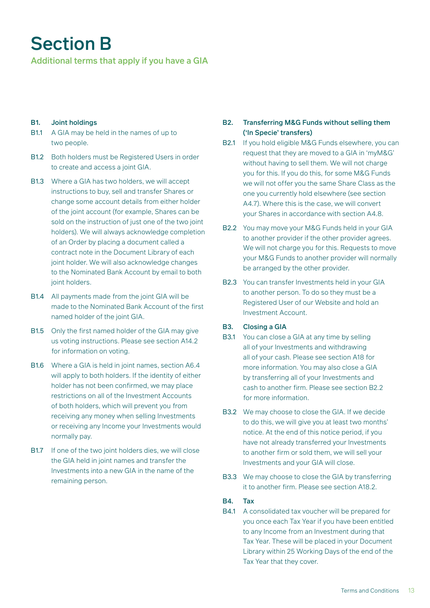### Section B

Additional terms that apply if you have a GIA

#### B1. Joint holdings

- B1.1 A GIA may be held in the names of up to two people.
- B1.2 Both holders must be Registered Users in order to create and access a joint GIA.
- B1.3 Where a GIA has two holders, we will accept instructions to buy, sell and transfer Shares or change some account details from either holder of the joint account (for example, Shares can be sold on the instruction of just one of the two joint holders). We will always acknowledge completion of an Order by placing a document called a contract note in the Document Library of each joint holder. We will also acknowledge changes to the Nominated Bank Account by email to both joint holders.
- B1.4 All payments made from the joint GIA will be made to the Nominated Bank Account of the first named holder of the joint GIA.
- B1.5 Only the first named holder of the GIA may give us voting instructions. Please see section A14.2 for information on voting.
- B1.6 Where a GIA is held in joint names, section A6.4 will apply to both holders. If the identity of either holder has not been confirmed, we may place restrictions on all of the Investment Accounts of both holders, which will prevent you from receiving any money when selling Investments or receiving any Income your Investments would normally pay.
- B1.7 If one of the two joint holders dies, we will close the GIA held in joint names and transfer the Investments into a new GIA in the name of the remaining person.

#### B2. Transferring M&G Funds without selling them ('In Specie' transfers)

- B2.1 If you hold eligible M&G Funds elsewhere, you can request that they are moved to a GIA in 'myM&G' without having to sell them. We will not charge you for this. If you do this, for some M&G Funds we will not offer you the same Share Class as the one you currently hold elsewhere (see section A4.7). Where this is the case, we will convert your Shares in accordance with section A4.8.
- B2.2 You may move your M&G Funds held in your GIA to another provider if the other provider agrees. We will not charge you for this. Requests to move your M&G Funds to another provider will normally be arranged by the other provider.
- B2.3 You can transfer Investments held in your GIA to another person. To do so they must be a Registered User of our Website and hold an Investment Account.

#### B3. Closing a GIA

- B3.1 You can close a GIA at any time by selling all of your Investments and withdrawing all of your cash. Please see section A18 for more information. You may also close a GIA by transferring all of your Investments and cash to another firm. Please see section B2.2 for more information.
- B3.2 We may choose to close the GIA. If we decide to do this, we will give you at least two months' notice. At the end of this notice period, if you have not already transferred your Investments to another firm or sold them, we will sell your Investments and your GIA will close.
- B3.3 We may choose to close the GIA by transferring it to another firm. Please see section A18.2.

#### B4. Tax

B4.1 A consolidated tax voucher will be prepared for you once each Tax Year if you have been entitled to any Income from an Investment during that Tax Year. These will be placed in your Document Library within 25 Working Days of the end of the Tax Year that they cover.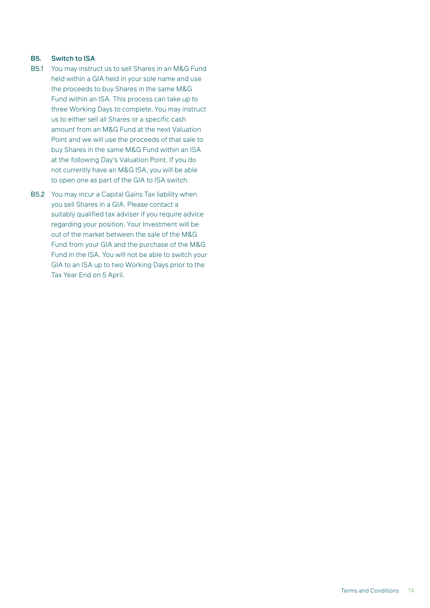#### B5. Switch to ISA

- B5.1 You may instruct us to sell Shares in an M&G Fund held within a GIA held in your sole name and use the proceeds to buy Shares in the same M&G Fund within an ISA. This process can take up to three Working Days to complete. You may instruct us to either sell all Shares or a specific cash amount from an M&G Fund at the next Valuation Point and we will use the proceeds of that sale to buy Shares in the same M&G Fund within an ISA at the following Day's Valuation Point. If you do not currently have an M&G ISA, you will be able to open one as part of the GIA to ISA switch.
- B5.2 You may incur a Capital Gains Tax liability when you sell Shares in a GIA. Please contact a suitably qualified tax adviser if you require advice regarding your position. Your Investment will be out of the market between the sale of the M&G Fund from your GIA and the purchase of the M&G Fund in the ISA. You will not be able to switch your GIA to an ISA up to two Working Days prior to the Tax Year End on 5 April.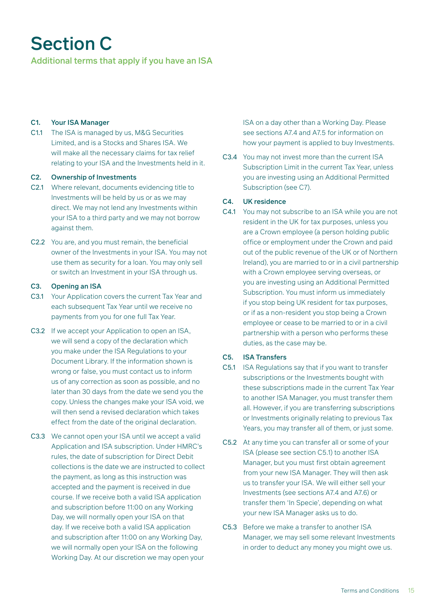## Section C

Additional terms that apply if you have an ISA

#### C1. Your ISA Manager

C1.1 The ISA is managed by us, M&G Securities Limited, and is a Stocks and Shares ISA. We will make all the necessary claims for tax relief relating to your ISA and the Investments held in it.

#### C2. Ownership of Investments

- C2.1 Where relevant, documents evidencing title to Investments will be held by us or as we may direct. We may not lend any Investments within your ISA to a third party and we may not borrow against them.
- C2.2 You are, and you must remain, the beneficial owner of the Investments in your ISA. You may not use them as security for a loan. You may only sell or switch an Investment in your ISA through us.

#### C3. Opening an ISA

- C3.1 Your Application covers the current Tax Year and each subsequent Tax Year until we receive no payments from you for one full Tax Year.
- C3.2 If we accept your Application to open an ISA, we will send a copy of the declaration which you make under the ISA Regulations to your Document Library. If the information shown is wrong or false, you must contact us to inform us of any correction as soon as possible, and no later than 30 days from the date we send you the copy. Unless the changes make your ISA void, we will then send a revised declaration which takes effect from the date of the original declaration.
- C3.3 We cannot open your ISA until we accept a valid Application and ISA subscription. Under HMRC's rules, the date of subscription for Direct Debit collections is the date we are instructed to collect the payment, as long as this instruction was accepted and the payment is received in due course. If we receive both a valid ISA application and subscription before 11:00 on any Working Day, we will normally open your ISA on that day. If we receive both a valid ISA application and subscription after 11:00 on any Working Day, we will normally open your ISA on the following Working Day. At our discretion we may open your

ISA on a day other than a Working Day. Please see sections A7.4 and A7.5 for information on how your payment is applied to buy Investments.

C3.4 You may not invest more than the current ISA Subscription Limit in the current Tax Year, unless you are investing using an Additional Permitted Subscription (see C7).

#### C4. UK residence

C4.1 You may not subscribe to an ISA while you are not resident in the UK for tax purposes, unless you are a Crown employee (a person holding public office or employment under the Crown and paid out of the public revenue of the UK or of Northern Ireland), you are married to or in a civil partnership with a Crown employee serving overseas, or you are investing using an Additional Permitted Subscription. You must inform us immediately if you stop being UK resident for tax purposes, or if as a non-resident you stop being a Crown employee or cease to be married to or in a civil partnership with a person who performs these duties, as the case may be.

#### C5. ISA Transfers

- C5.1 ISA Regulations say that if you want to transfer subscriptions or the Investments bought with these subscriptions made in the current Tax Year to another ISA Manager, you must transfer them all. However, if you are transferring subscriptions or Investments originally relating to previous Tax Years, you may transfer all of them, or just some.
- C5.2 At any time you can transfer all or some of your ISA (please see section C5.1) to another ISA Manager, but you must first obtain agreement from your new ISA Manager. They will then ask us to transfer your ISA. We will either sell your Investments (see sections A7.4 and A7.6) or transfer them 'In Specie', depending on what your new ISA Manager asks us to do.
- C5.3 Before we make a transfer to another ISA Manager, we may sell some relevant Investments in order to deduct any money you might owe us.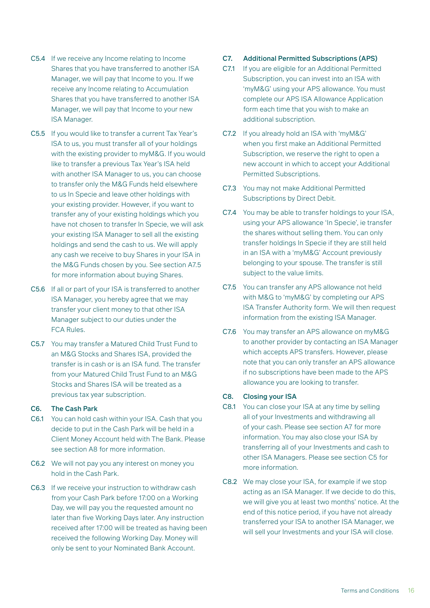- C5.4 If we receive any Income relating to Income Shares that you have transferred to another ISA Manager, we will pay that Income to you. If we receive any Income relating to Accumulation Shares that you have transferred to another ISA Manager, we will pay that Income to your new ISA Manager.
- C5.5 If you would like to transfer a current Tax Year's ISA to us, you must transfer all of your holdings with the existing provider to myM&G. If you would like to transfer a previous Tax Year's ISA held with another ISA Manager to us, you can choose to transfer only the M&G Funds held elsewhere to us In Specie and leave other holdings with your existing provider. However, if you want to transfer any of your existing holdings which you have not chosen to transfer In Specie, we will ask your existing ISA Manager to sell all the existing holdings and send the cash to us. We will apply any cash we receive to buy Shares in your ISA in the M&G Funds chosen by you. See section A7.5 for more information about buying Shares.
- C5.6 If all or part of your ISA is transferred to another ISA Manager, you hereby agree that we may transfer your client money to that other ISA Manager subject to our duties under the FCA Rules.
- C5.7 You may transfer a Matured Child Trust Fund to an M&G Stocks and Shares ISA, provided the transfer is in cash or is an ISA fund. The transfer from your Matured Child Trust Fund to an M&G Stocks and Shares ISA will be treated as a previous tax year subscription.

#### C6. The Cash Park

- C6.1 You can hold cash within your ISA. Cash that you decide to put in the Cash Park will be held in a Client Money Account held with The Bank. Please see section A8 for more information.
- C6.2 We will not pay you any interest on money you hold in the Cash Park.
- C6.3 If we receive your instruction to withdraw cash from your Cash Park before 17:00 on a Working Day, we will pay you the requested amount no later than five Working Days later. Any instruction received after 17:00 will be treated as having been received the following Working Day. Money will only be sent to your Nominated Bank Account.

#### C7. Additional Permitted Subscriptions (APS)

- C7.1 If you are eligible for an Additional Permitted Subscription, you can invest into an ISA with 'myM&G' using your APS allowance. You must complete our APS ISA Allowance Application form each time that you wish to make an additional subscription.
- C7.2 If you already hold an ISA with 'myM&G' when you first make an Additional Permitted Subscription, we reserve the right to open a new account in which to accept your Additional Permitted Subscriptions.
- C7.3 You may not make Additional Permitted Subscriptions by Direct Debit.
- C7.4 You may be able to transfer holdings to your ISA, using your APS allowance 'In Specie', ie transfer the shares without selling them. You can only transfer holdings In Specie if they are still held in an ISA with a 'myM&G' Account previously belonging to your spouse. The transfer is still subject to the value limits.
- C7.5 You can transfer any APS allowance not held with M&G to 'myM&G' by completing our APS ISA Transfer Authority form. We will then request information from the existing ISA Manager.
- C7.6 You may transfer an APS allowance on myM&G to another provider by contacting an ISA Manager which accepts APS transfers. However, please note that you can only transfer an APS allowance if no subscriptions have been made to the APS allowance you are looking to transfer.

#### C8. Closing your ISA

- C8.1 You can close your ISA at any time by selling all of your Investments and withdrawing all of your cash. Please see section A7 for more information. You may also close your ISA by transferring all of your Investments and cash to other ISA Managers. Please see section C5 for more information.
- C8.2 We may close your ISA, for example if we stop acting as an ISA Manager. If we decide to do this, we will give you at least two months' notice. At the end of this notice period, if you have not already transferred your ISA to another ISA Manager, we will sell your Investments and your ISA will close.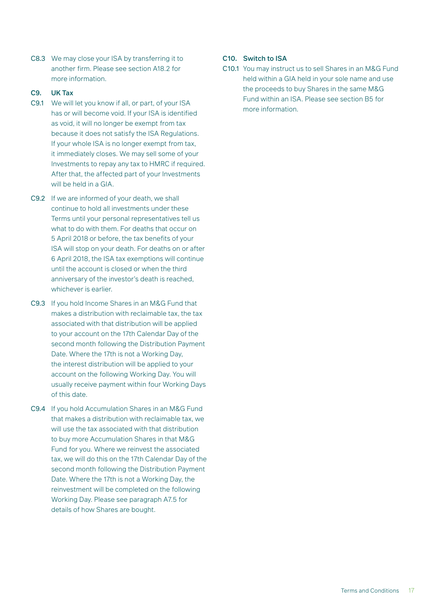C8.3 We may close your ISA by transferring it to another firm. Please see section A18.2 for more information.

#### C9. UK Tax

- C9.1 We will let you know if all, or part, of your ISA has or will become void. If your ISA is identified as void, it will no longer be exempt from tax because it does not satisfy the ISA Regulations. If your whole ISA is no longer exempt from tax, it immediately closes. We may sell some of your Investments to repay any tax to HMRC if required. After that, the affected part of your Investments will be held in a GIA.
- C9.2 If we are informed of your death, we shall continue to hold all investments under these Terms until your personal representatives tell us what to do with them. For deaths that occur on 5 April 2018 or before, the tax benefits of your ISA will stop on your death. For deaths on or after 6 April 2018, the ISA tax exemptions will continue until the account is closed or when the third anniversary of the investor's death is reached, whichever is earlier.
- C9.3 If you hold Income Shares in an M&G Fund that makes a distribution with reclaimable tax, the tax associated with that distribution will be applied to your account on the 17th Calendar Day of the second month following the Distribution Payment Date. Where the 17th is not a Working Day, the interest distribution will be applied to your account on the following Working Day. You will usually receive payment within four Working Days of this date.
- C9.4 If you hold Accumulation Shares in an M&G Fund that makes a distribution with reclaimable tax, we will use the tax associated with that distribution to buy more Accumulation Shares in that M&G Fund for you. Where we reinvest the associated tax, we will do this on the 17th Calendar Day of the second month following the Distribution Payment Date. Where the 17th is not a Working Day, the reinvestment will be completed on the following Working Day. Please see paragraph A7.5 for details of how Shares are bought.

#### C10. Switch to ISA

C10.1 You may instruct us to sell Shares in an M&G Fund held within a GIA held in your sole name and use the proceeds to buy Shares in the same M&G Fund within an ISA. Please see section B5 for more information.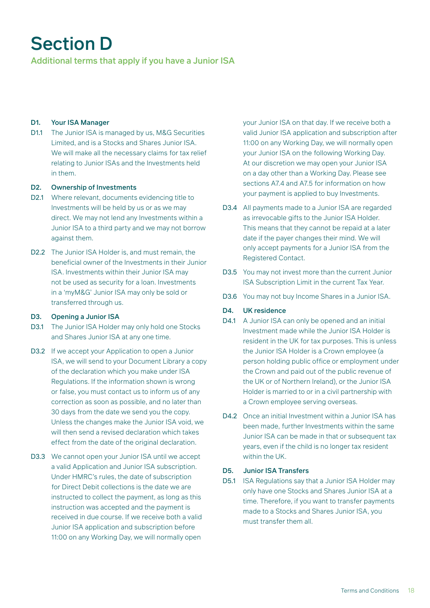## Section D

Additional terms that apply if you have a Junior ISA

#### D1. Your ISA Manager

D1.1 The Junior ISA is managed by us, M&G Securities Limited, and is a Stocks and Shares Junior ISA. We will make all the necessary claims for tax relief relating to Junior ISAs and the Investments held in them.

#### D2. Ownership of Investments

- D2.1 Where relevant, documents evidencing title to Investments will be held by us or as we may direct. We may not lend any Investments within a Junior ISA to a third party and we may not borrow against them.
- D2.2 The Junior ISA Holder is, and must remain, the beneficial owner of the Investments in their Junior ISA. Investments within their Junior ISA may not be used as security for a loan. Investments in a 'myM&G' Junior ISA may only be sold or transferred through us.

#### D3. Opening a Junior ISA

- D3.1 The Junior ISA Holder may only hold one Stocks and Shares Junior ISA at any one time.
- D3.2 If we accept your Application to open a Junior ISA, we will send to your Document Library a copy of the declaration which you make under ISA Regulations. If the information shown is wrong or false, you must contact us to inform us of any correction as soon as possible, and no later than 30 days from the date we send you the copy. Unless the changes make the Junior ISA void, we will then send a revised declaration which takes effect from the date of the original declaration.
- D3.3 We cannot open your Junior ISA until we accept a valid Application and Junior ISA subscription. Under HMRC's rules, the date of subscription for Direct Debit collections is the date we are instructed to collect the payment, as long as this instruction was accepted and the payment is received in due course. If we receive both a valid Junior ISA application and subscription before 11:00 on any Working Day, we will normally open

your Junior ISA on that day. If we receive both a valid Junior ISA application and subscription after 11:00 on any Working Day, we will normally open your Junior ISA on the following Working Day. At our discretion we may open your Junior ISA on a day other than a Working Day. Please see sections A7.4 and A7.5 for information on how your payment is applied to buy Investments.

- D3.4 All payments made to a Junior ISA are regarded as irrevocable gifts to the Junior ISA Holder. This means that they cannot be repaid at a later date if the payer changes their mind. We will only accept payments for a Junior ISA from the Registered Contact.
- D3.5 You may not invest more than the current Junior ISA Subscription Limit in the current Tax Year.
- D3.6 You may not buy Income Shares in a Junior ISA.

#### D4. UK residence

- D4.1 A Junior ISA can only be opened and an initial Investment made while the Junior ISA Holder is resident in the UK for tax purposes. This is unless the Junior ISA Holder is a Crown employee (a person holding public office or employment under the Crown and paid out of the public revenue of the UK or of Northern Ireland), or the Junior ISA Holder is married to or in a civil partnership with a Crown employee serving overseas.
- D4.2 Once an initial Investment within a Junior ISA has been made, further Investments within the same Junior ISA can be made in that or subsequent tax years, even if the child is no longer tax resident within the UK.

#### D5. Junior ISA Transfers

D5.1 ISA Regulations say that a Junior ISA Holder may only have one Stocks and Shares Junior ISA at a time. Therefore, if you want to transfer payments made to a Stocks and Shares Junior ISA, you must transfer them all.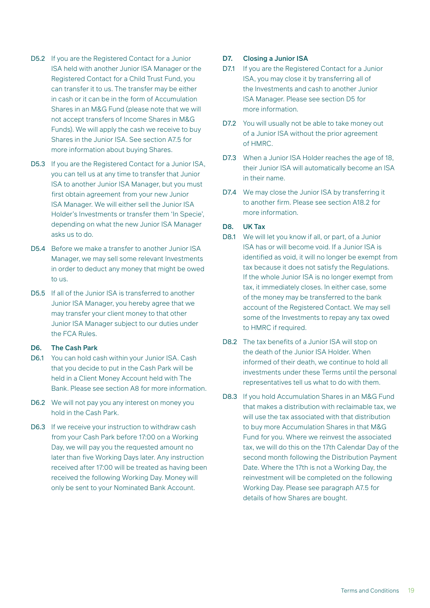- D5.2 If you are the Registered Contact for a Junior ISA held with another Junior ISA Manager or the Registered Contact for a Child Trust Fund, you can transfer it to us. The transfer may be either in cash or it can be in the form of Accumulation Shares in an M&G Fund (please note that we will not accept transfers of Income Shares in M&G Funds). We will apply the cash we receive to buy Shares in the Junior ISA. See section A7.5 for more information about buying Shares.
- D5.3 If you are the Registered Contact for a Junior ISA, you can tell us at any time to transfer that Junior ISA to another Junior ISA Manager, but you must first obtain agreement from your new Junior ISA Manager. We will either sell the Junior ISA Holder's Investments or transfer them 'In Specie', depending on what the new Junior ISA Manager asks us to do.
- D5.4 Before we make a transfer to another Junior ISA Manager, we may sell some relevant Investments in order to deduct any money that might be owed to us.
- D5.5 If all of the Junior ISA is transferred to another Junior ISA Manager, you hereby agree that we may transfer your client money to that other Junior ISA Manager subject to our duties under the FCA Rules.

#### D6. The Cash Park

- D6.1 You can hold cash within your Junior ISA. Cash that you decide to put in the Cash Park will be held in a Client Money Account held with The Bank. Please see section A8 for more information.
- D6.2 We will not pay you any interest on money you hold in the Cash Park.
- D6.3 If we receive your instruction to withdraw cash from your Cash Park before 17:00 on a Working Day, we will pay you the requested amount no later than five Working Days later. Any instruction received after 17:00 will be treated as having been received the following Working Day. Money will only be sent to your Nominated Bank Account.

#### D7. Closing a Junior ISA

- D7.1 If you are the Registered Contact for a Junior ISA, you may close it by transferring all of the Investments and cash to another Junior ISA Manager. Please see section D5 for more information.
- D7.2 You will usually not be able to take money out of a Junior ISA without the prior agreement of HMRC.
- D7.3 When a Junior ISA Holder reaches the age of 18, their Junior ISA will automatically become an ISA in their name.
- D7.4 We may close the Junior ISA by transferring it to another firm. Please see section A18.2 for more information.

#### D8. UK Tax

- D8.1 We will let you know if all, or part, of a Junior ISA has or will become void. If a Junior ISA is identified as void, it will no longer be exempt from tax because it does not satisfy the Regulations. If the whole Junior ISA is no longer exempt from tax, it immediately closes. In either case, some of the money may be transferred to the bank account of the Registered Contact. We may sell some of the Investments to repay any tax owed to HMRC if required.
- D8.2 The tax benefits of a Junior ISA will stop on the death of the Junior ISA Holder. When informed of their death, we continue to hold all investments under these Terms until the personal representatives tell us what to do with them.
- D8.3 If you hold Accumulation Shares in an M&G Fund that makes a distribution with reclaimable tax, we will use the tax associated with that distribution to buy more Accumulation Shares in that M&G Fund for you. Where we reinvest the associated tax, we will do this on the 17th Calendar Day of the second month following the Distribution Payment Date. Where the 17th is not a Working Day, the reinvestment will be completed on the following Working Day. Please see paragraph A7.5 for details of how Shares are bought.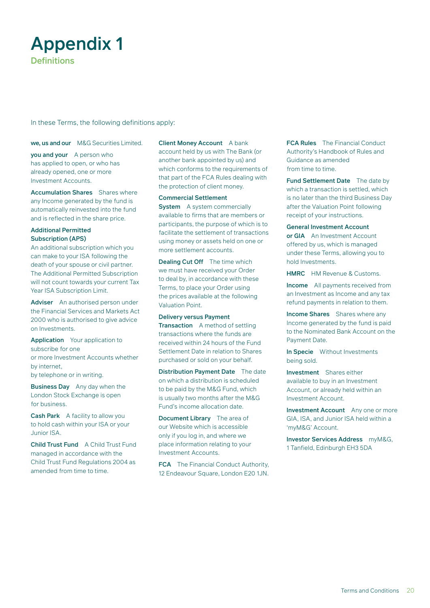### Appendix 1 **Definitions**

In these Terms, the following definitions apply:

we, us and our M&G Securities Limited.

you and your A person who has applied to open, or who has already opened, one or more Investment Accounts.

Accumulation Shares Shares where any Income generated by the fund is automatically reinvested into the fund and is reflected in the share price.

#### Additional Permitted Subscription (APS)

An additional subscription which you can make to your ISA following the death of your spouse or civil partner. The Additional Permitted Subscription will not count towards your current Tax Year ISA Subscription Limit.

Adviser An authorised person under the Financial Services and Markets Act 2000 who is authorised to give advice on Investments.

Application Your application to subscribe for one or more Investment Accounts whether by internet,

by telephone or in writing.

Business Day Any day when the London Stock Exchange is open for business.

Cash Park A facility to allow you to hold cash within your ISA or your Junior ISA.

Child Trust Fund A Child Trust Fund managed in accordance with the Child Trust Fund Regulations 2004 as amended from time to time.

Client Money Account A bank account held by us with The Bank (or another bank appointed by us) and which conforms to the requirements of that part of the FCA Rules dealing with the protection of client money.

Commercial Settlement

**System** A system commercially available to firms that are members or participants, the purpose of which is to facilitate the settlement of transactions using money or assets held on one or more settlement accounts.

Dealing Cut Off The time which we must have received your Order to deal by, in accordance with these Terms, to place your Order using the prices available at the following Valuation Point.

Delivery versus Payment Transaction A method of settling transactions where the funds are received within 24 hours of the Fund Settlement Date in relation to Shares purchased or sold on your behalf.

Distribution Payment Date The date on which a distribution is scheduled to be paid by the M&G Fund, which is usually two months after the M&G Fund's income allocation date.

Document Library The area of our Website which is accessible only if you log in, and where we place information relating to your Investment Accounts.

FCA The Financial Conduct Authority, 12 Endeavour Square, London E20 1JN. FCA Rules The Financial Conduct Authority's Handbook of Rules and Guidance as amended from time to time.

Fund Settlement Date The date by which a transaction is settled, which is no later than the third Business Day after the Valuation Point following receipt of your instructions.

General Investment Account

or GIA An Investment Account offered by us, which is managed under these Terms, allowing you to hold Investments.

HMRC HM Revenue & Customs.

Income All payments received from an Investment as Income and any tax refund payments in relation to them.

Income Shares Shares where any Income generated by the fund is paid to the Nominated Bank Account on the Payment Date.

In Specie Without Investments being sold.

Investment Shares either available to buy in an Investment Account, or already held within an Investment Account.

Investment Account Any one or more GIA, ISA, and Junior ISA held within a 'myM&G' Account.

Investor Services Address myM&G, 1 Tanfield, Edinburgh EH3 5DA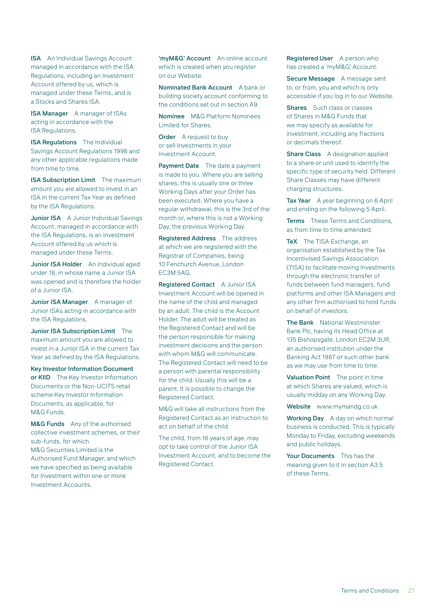**ISA** An Individual Savings Account managed in accordance with the ISA Regulations, including an Investment Account offered by us, which is managed under these Terms, and is a Stocks and Shares ISA.

ISA Manager A manager of ISAs acting in accordance with the ISA Regulations.

**ISA Regulations** The Individual Savings Account Regulations 1998 and any other applicable regulations made from time to time.

**ISA Subscription Limit** The maximum amount you are allowed to invest in an ISA in the current Tax Year as defined by the ISA Regulations.

**Junior ISA** A Junior Individual Savings Account, managed in accordance with the ISA Regulations, is an Investment Account offered by us which is managed under these Terms.

Junior ISA Holder An individual aged under 18, in whose name a Junior ISA was opened and is therefore the holder of a Junior ISA.

Junior ISA Manager A manager of Junior ISAs acting in accordance with the ISA Regulations.

Junior ISA Subscription Limit The maximum amount you are allowed to invest in a Junior ISA in the current Tax Year as defined by the ISA Regulations.

Key Investor Information Document or KIID The Key Investor Information Documents or the Non-UCITS retail scheme Key Investor Information Documents, as applicable, for M&G Funds.

M&G Funds Any of the authorised collective investment schemes, or their sub-funds, for which M&G Securities Limited is the Authorised Fund Manager, and which we have specified as being available for Investment within one or more Investment Accounts.

'myM&G' Account An online account which is created when you register on our Website.

Nominated Bank Account A bank or building society account conforming to the conditions set out in section A9.

Nominee M&G Platform Nominees Limited for Shares.

**Order** A request to buy or sell Investments in your Investment Account.

Payment Date The date a payment is made to you. Where you are selling shares, this is usually one or three Working Days after your Order has been executed. Where you have a regular withdrawal, this is the 3rd of the month or, where this is not a Working Day, the previous Working Day.

Registered Address The address at which we are registered with the Registrar of Companies, being 10 Fenchurch Avenue, London EC3M 5AG.

Registered Contact A Junior ISA Investment Account will be opened in the name of the child and managed by an adult. The child is the Account Holder. The adult will be treated as the Registered Contact and will be the person responsible for making investment decisions and the person with whom M&G will communicate. The Registered Contact will need to be a person with parental responsibility for the child. Usually this will be a parent. It is possible to change the Registered Contact.

M&G will take all instructions from the Registered Contact as an instruction to act on behalf of the child.

The child, from 16 years of age, may opt to take control of the Junior ISA Investment Account, and to become the Registered Contact.

Registered User A person who has created a 'myM&G' Account.

Secure Message A message sent to, or from, you and which is only accessible if you log in to our Website.

Shares Such class or classes of Shares in M&G Funds that we may specify as available for investment, including any fractions or decimals thereof.

Share Class A designation applied to a share or unit used to identify the specific type of security held. Different Share Classes may have different charging structures.

Tax Year A year beginning on 6 April and ending on the following 5 April.

Terms These Terms and Conditions, as from time to time amended.

TeX The TISA Exchange, an organisation established by the Tax Incentivised Savings Association (TISA) to facilitate moving Investments through the electronic transfer of funds between fund managers, fund platforms and other ISA Managers and any other firm authorised to hold funds on behalf of investors.

The Bank National Westminster Bank Plc, having its Head Office at 135 Bishopsgate, London EC2M 3UR, an authorised institution under the Banking Act 1987 or such other bank as we may use from time to time.

Valuation Point The point in time at which Shares are valued, which is usually midday on any Working Day.

Website www.mymandg.co.uk

Working Day A day on which normal business is conducted. This is typically Monday to Friday, excluding weekends and public holidays.

Your Documents This has the meaning given to it in section A3.5 of these Terms.